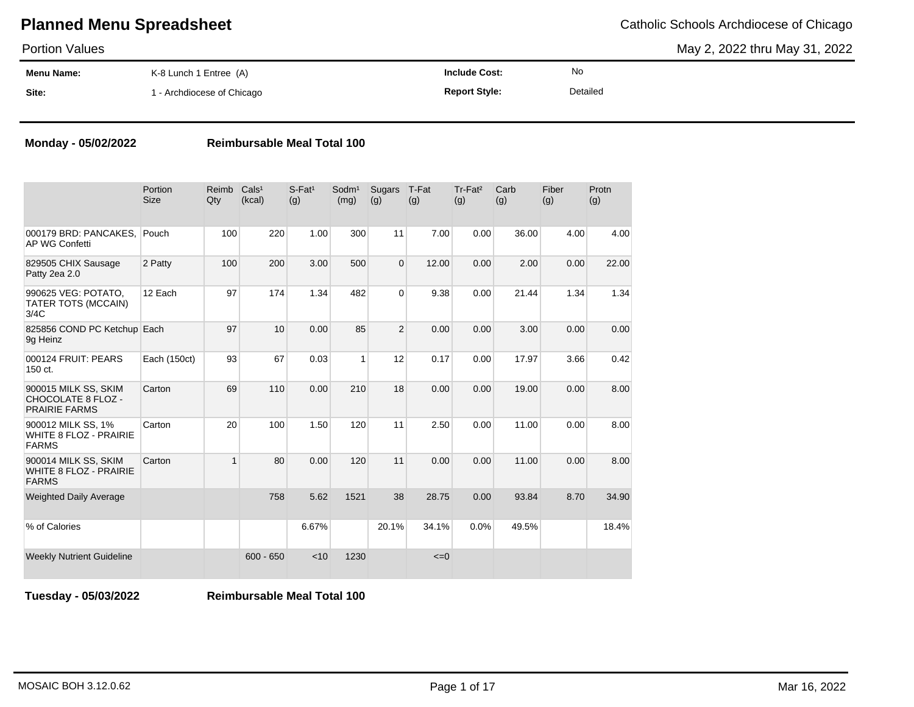May 2, 2022 thru May 31, 2022

| <b>Portion Values</b> |                            |                      |          | May 2, 2022 thru May 31, 2022 |
|-----------------------|----------------------------|----------------------|----------|-------------------------------|
| Menu Name:            | K-8 Lunch 1 Entree (A)     | <b>Include Cost:</b> | No       |                               |
| Site:                 | 1 - Archdiocese of Chicago | <b>Report Style:</b> | Detailed |                               |

### **Monday - 05/02/2022 Reimbursable Meal Total 100**

|                                                                       | Portion<br><b>Size</b> | Reimb<br>Qty | Cals <sup>1</sup><br>(kcal) | $S$ -Fat <sup>1</sup><br>(g) | Sodm <sup>1</sup><br>(mg) | Sugars<br>(g)  | T-Fat<br>(g) | Tr-Fat <sup>2</sup><br>(g) | Carb<br>(g) | Fiber<br>(g) | Protn<br>(g) |
|-----------------------------------------------------------------------|------------------------|--------------|-----------------------------|------------------------------|---------------------------|----------------|--------------|----------------------------|-------------|--------------|--------------|
| 000179 BRD: PANCAKES.<br><b>AP WG Confetti</b>                        | Pouch                  | 100          | 220                         | 1.00                         | 300                       | 11             | 7.00         | 0.00                       | 36.00       | 4.00         | 4.00         |
| 829505 CHIX Sausage<br>Patty 2ea 2.0                                  | 2 Patty                | 100          | 200                         | 3.00                         | 500                       | $\overline{0}$ | 12.00        | 0.00                       | 2.00        | 0.00         | 22.00        |
| 990625 VEG: POTATO.<br>TATER TOTS (MCCAIN)<br>3/4C                    | 12 Each                | 97           | 174                         | 1.34                         | 482                       | $\overline{0}$ | 9.38         | 0.00                       | 21.44       | 1.34         | 1.34         |
| 825856 COND PC Ketchup Each<br>9q Heinz                               |                        | 97           | 10                          | 0.00                         | 85                        | $\overline{2}$ | 0.00         | 0.00                       | 3.00        | 0.00         | 0.00         |
| 000124 FRUIT: PEARS<br>150 ct.                                        | Each (150ct)           | 93           | 67                          | 0.03                         | $\mathbf{1}$              | 12             | 0.17         | 0.00                       | 17.97       | 3.66         | 0.42         |
| 900015 MILK SS, SKIM<br>CHOCOLATE 8 FLOZ -<br><b>PRAIRIE FARMS</b>    | Carton                 | 69           | 110                         | 0.00                         | 210                       | 18             | 0.00         | 0.00                       | 19.00       | 0.00         | 8.00         |
| 900012 MILK SS, 1%<br><b>WHITE 8 FLOZ - PRAIRIE</b><br><b>FARMS</b>   | Carton                 | 20           | 100                         | 1.50                         | 120                       | 11             | 2.50         | 0.00                       | 11.00       | 0.00         | 8.00         |
| 900014 MILK SS, SKIM<br><b>WHITE 8 FLOZ - PRAIRIE</b><br><b>FARMS</b> | Carton                 | 1            | 80                          | 0.00                         | 120                       | 11             | 0.00         | 0.00                       | 11.00       | 0.00         | 8.00         |
| <b>Weighted Daily Average</b>                                         |                        |              | 758                         | 5.62                         | 1521                      | 38             | 28.75        | 0.00                       | 93.84       | 8.70         | 34.90        |
| % of Calories                                                         |                        |              |                             | 6.67%                        |                           | 20.1%          | 34.1%        | 0.0%                       | 49.5%       |              | 18.4%        |
| <b>Weekly Nutrient Guideline</b>                                      |                        |              | $600 - 650$                 | < 10                         | 1230                      |                | $\leq=0$     |                            |             |              |              |

**Tuesday - 05/03/2022 Reimbursable Meal Total 100**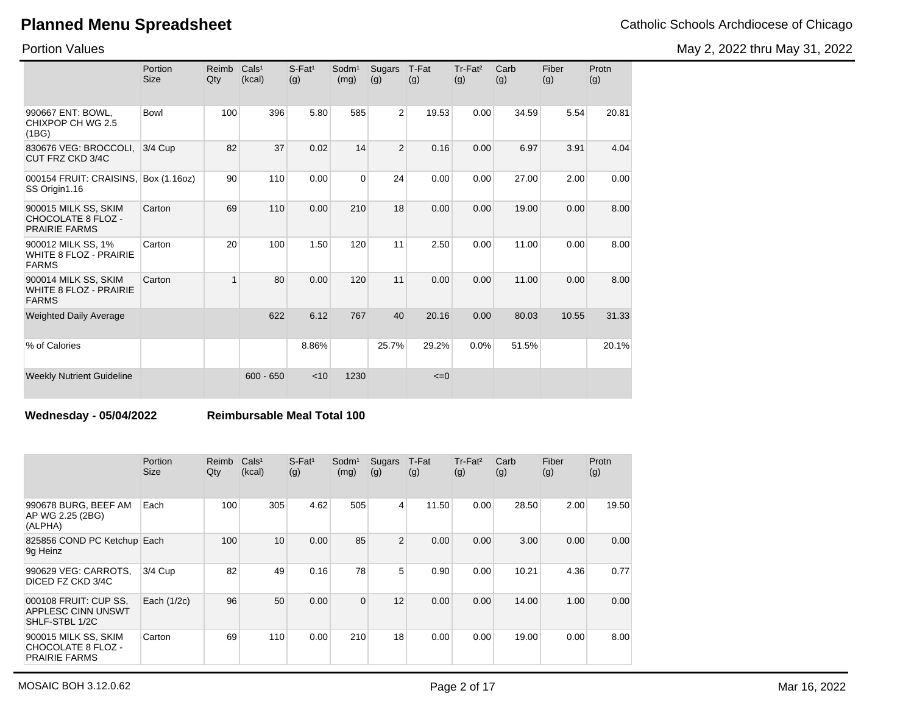May 2, 2022 thru May 31, 2022

Portion Values

|                                                                       | Portion<br><b>Size</b> | Reimb<br>Qty | Cals <sup>1</sup><br>(kcal) | S-Fat <sup>1</sup><br>(g) | Sodm <sup>1</sup><br>(mg) | Sugars<br>(g)  | T-Fat<br>(g) | Tr-Fat <sup>2</sup><br>(g) | Carb<br>(g) | Fiber<br>(g) | Protn<br>(g) |
|-----------------------------------------------------------------------|------------------------|--------------|-----------------------------|---------------------------|---------------------------|----------------|--------------|----------------------------|-------------|--------------|--------------|
| 990667 ENT: BOWL.<br>CHIXPOP CH WG 2.5<br>(1BG)                       | Bowl                   | 100          | 396                         | 5.80                      | 585                       | $\overline{2}$ | 19.53        | 0.00                       | 34.59       | 5.54         | 20.81        |
| 830676 VEG: BROCCOLI,<br>CUT FRZ CKD 3/4C                             | $3/4$ Cup              | 82           | 37                          | 0.02                      | 14                        | $\overline{2}$ | 0.16         | 0.00                       | 6.97        | 3.91         | 4.04         |
| 000154 FRUIT: CRAISINS,<br>SS Origin1.16                              | Box (1.16oz)           | 90           | 110                         | 0.00                      | $\Omega$                  | 24             | 0.00         | 0.00                       | 27.00       | 2.00         | 0.00         |
| 900015 MILK SS, SKIM<br>CHOCOLATE 8 FLOZ -<br><b>PRAIRIE FARMS</b>    | Carton                 | 69           | 110                         | 0.00                      | 210                       | 18             | 0.00         | 0.00                       | 19.00       | 0.00         | 8.00         |
| 900012 MILK SS, 1%<br><b>WHITE 8 FLOZ - PRAIRIE</b><br><b>FARMS</b>   | Carton                 | 20           | 100                         | 1.50                      | 120                       | 11             | 2.50         | 0.00                       | 11.00       | 0.00         | 8.00         |
| 900014 MILK SS, SKIM<br><b>WHITE 8 FLOZ - PRAIRIE</b><br><b>FARMS</b> | Carton                 | $\mathbf{1}$ | 80                          | 0.00                      | 120                       | 11             | 0.00         | 0.00                       | 11.00       | 0.00         | 8.00         |
| <b>Weighted Daily Average</b>                                         |                        |              | 622                         | 6.12                      | 767                       | 40             | 20.16        | 0.00                       | 80.03       | 10.55        | 31.33        |
| % of Calories                                                         |                        |              |                             | 8.86%                     |                           | 25.7%          | 29.2%        | 0.0%                       | 51.5%       |              | 20.1%        |
| <b>Weekly Nutrient Guideline</b>                                      |                        |              | $600 - 650$                 | < 10                      | 1230                      |                | $\leq=0$     |                            |             |              |              |

### **Wednesday - 05/04/2022 Reimbursable Meal Total 100**

|                                                                    | Portion<br><b>Size</b> | Reimb<br>Qty | Cals <sup>1</sup><br>(kcal) | $S$ -Fat <sup>1</sup><br>(g) | Sodm <sup>1</sup><br>(mg) | Sugars<br>(g)  | T-Fat<br>(g) | $Tr-Fat2$<br>(g) | Carb<br>(g) | Fiber<br>(g) | Protn<br>(g) |
|--------------------------------------------------------------------|------------------------|--------------|-----------------------------|------------------------------|---------------------------|----------------|--------------|------------------|-------------|--------------|--------------|
| 990678 BURG, BEEF AM<br>AP WG 2.25 (2BG)<br>(ALPHA)                | Each                   | 100          | 305                         | 4.62                         | 505                       | $\overline{4}$ | 11.50        | 0.00             | 28.50       | 2.00         | 19.50        |
| 825856 COND PC Ketchup Each<br>9g Heinz                            |                        | 100          | 10                          | 0.00                         | 85                        | $\overline{2}$ | 0.00         | 0.00             | 3.00        | 0.00         | 0.00         |
| 990629 VEG: CARROTS,<br>DICED FZ CKD 3/4C                          | $3/4$ Cup              | 82           | 49                          | 0.16                         | 78                        | 5              | 0.90         | 0.00             | 10.21       | 4.36         | 0.77         |
| 000108 FRUIT: CUP SS.<br>APPLESC CINN UNSWT<br>SHLF-STBL 1/2C      | Each (1/2c)            | 96           | 50                          | 0.00                         | $\mathbf 0$               | 12             | 0.00         | 0.00             | 14.00       | 1.00         | 0.00         |
| 900015 MILK SS, SKIM<br>CHOCOLATE 8 FLOZ -<br><b>PRAIRIE FARMS</b> | Carton                 | 69           | 110                         | 0.00                         | 210                       | 18             | 0.00         | 0.00             | 19.00       | 0.00         | 8.00         |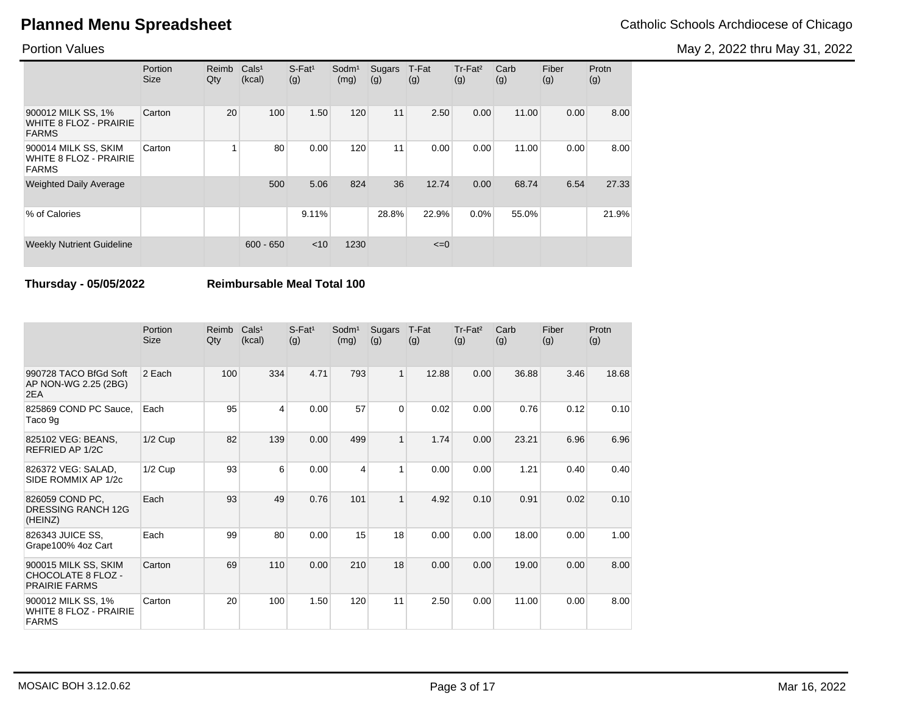May 2, 2022 thru May 31, 2022

### Portion Values

|                                                                       | Portion<br><b>Size</b> | Reimb<br>Qty | Cals <sup>1</sup><br>(kcal) | $S$ -Fat <sup>1</sup><br>(g) | Sodm <sup>1</sup><br>(mg) | Sugars<br>(g) | T-Fat<br>(g) | Tr-Fat <sup>2</sup><br>(g) | Carb<br>(g) | Fiber<br>(g) | Protn<br>(g) |
|-----------------------------------------------------------------------|------------------------|--------------|-----------------------------|------------------------------|---------------------------|---------------|--------------|----------------------------|-------------|--------------|--------------|
| 900012 MILK SS, 1%<br><b>WHITE 8 FLOZ - PRAIRIE</b><br><b>FARMS</b>   | Carton                 | 20           | 100                         | 1.50                         | 120                       | 11            | 2.50         | 0.00                       | 11.00       | 0.00         | 8.00         |
| 900014 MILK SS, SKIM<br><b>WHITE 8 FLOZ - PRAIRIE</b><br><b>FARMS</b> | Carton                 |              | 80                          | 0.00                         | 120                       | 11            | 0.00         | 0.00                       | 11.00       | 0.00         | 8.00         |
| <b>Weighted Daily Average</b>                                         |                        |              | 500                         | 5.06                         | 824                       | 36            | 12.74        | 0.00                       | 68.74       | 6.54         | 27.33        |
| % of Calories                                                         |                        |              |                             | 9.11%                        |                           | 28.8%         | 22.9%        | $0.0\%$                    | 55.0%       |              | 21.9%        |
| <b>Weekly Nutrient Guideline</b>                                      |                        |              | $600 - 650$                 | $<$ 10                       | 1230                      |               | $\leq=0$     |                            |             |              |              |

**Thursday - 05/05/2022 Reimbursable Meal Total 100**

|                                                                     | Portion<br><b>Size</b> | Reimb<br>Qty | Cals <sup>1</sup><br>(kcal) | $S$ -Fat <sup>1</sup><br>(g) | Sodm <sup>1</sup><br>(mg) | Sugars<br>(g) | T-Fat<br>(g) | Tr-Fat <sup>2</sup><br>(g) | Carb<br>(g) | Fiber<br>(g) | Protn<br>(g) |
|---------------------------------------------------------------------|------------------------|--------------|-----------------------------|------------------------------|---------------------------|---------------|--------------|----------------------------|-------------|--------------|--------------|
| 990728 TACO BfGd Soft<br>AP NON-WG 2.25 (2BG)<br>2EA                | 2 Each                 | 100          | 334                         | 4.71                         | 793                       | 1             | 12.88        | 0.00                       | 36.88       | 3.46         | 18.68        |
| 825869 COND PC Sauce,<br>Taco 9g                                    | Each                   | 95           | $\overline{4}$              | 0.00                         | 57                        | $\Omega$      | 0.02         | 0.00                       | 0.76        | 0.12         | 0.10         |
| 825102 VEG: BEANS,<br>REFRIED AP 1/2C                               | $1/2$ Cup              | 82           | 139                         | 0.00                         | 499                       | 1             | 1.74         | 0.00                       | 23.21       | 6.96         | 6.96         |
| 826372 VEG: SALAD,<br>SIDE ROMMIX AP 1/2c                           | $1/2$ Cup              | 93           | 6                           | 0.00                         | 4                         | 1             | 0.00         | 0.00                       | 1.21        | 0.40         | 0.40         |
| 826059 COND PC,<br>DRESSING RANCH 12G<br>(HEINZ)                    | Each                   | 93           | 49                          | 0.76                         | 101                       | $\mathbf{1}$  | 4.92         | 0.10                       | 0.91        | 0.02         | 0.10         |
| 826343 JUICE SS,<br>Grape100% 4oz Cart                              | Each                   | 99           | 80                          | 0.00                         | 15                        | 18            | 0.00         | 0.00                       | 18.00       | 0.00         | 1.00         |
| 900015 MILK SS, SKIM<br>CHOCOLATE 8 FLOZ -<br><b>PRAIRIE FARMS</b>  | Carton                 | 69           | 110                         | 0.00                         | 210                       | 18            | 0.00         | 0.00                       | 19.00       | 0.00         | 8.00         |
| 900012 MILK SS, 1%<br><b>WHITE 8 FLOZ - PRAIRIE</b><br><b>FARMS</b> | Carton                 | 20           | 100                         | 1.50                         | 120                       | 11            | 2.50         | 0.00                       | 11.00       | 0.00         | 8.00         |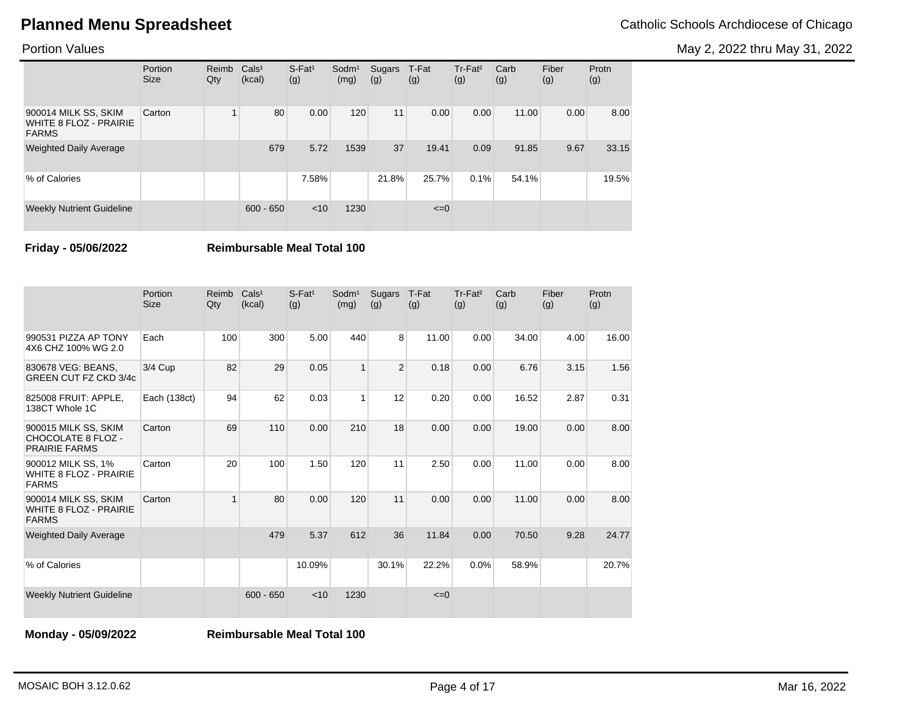May 2, 2022 thru May 31, 2022

### Portion Values

|                                                                | Portion<br><b>Size</b> | Reimb<br>Qty | Cals <sup>1</sup><br>(kcal) | $S$ -Fat <sup>1</sup><br>(g) | Sodm <sup>1</sup><br>(mg) | Sugars<br>(g) | T-Fat<br>(g) | Tr-Fat <sup>2</sup><br>(g) | Carb<br>(g) | Fiber<br>(g) | Protn<br>(g) |
|----------------------------------------------------------------|------------------------|--------------|-----------------------------|------------------------------|---------------------------|---------------|--------------|----------------------------|-------------|--------------|--------------|
| 900014 MILK SS, SKIM<br>WHITE 8 FLOZ - PRAIRIE<br><b>FARMS</b> | Carton                 |              | 80                          | 0.00                         | 120                       | 11            | 0.00         | 0.00                       | 11.00       | 0.00         | 8.00         |
| <b>Weighted Daily Average</b>                                  |                        |              | 679                         | 5.72                         | 1539                      | 37            | 19.41        | 0.09                       | 91.85       | 9.67         | 33.15        |
| % of Calories                                                  |                        |              |                             | 7.58%                        |                           | 21.8%         | 25.7%        | 0.1%                       | 54.1%       |              | 19.5%        |
| <b>Weekly Nutrient Guideline</b>                               |                        |              | $600 - 650$                 | < 10                         | 1230                      |               | $\leq=0$     |                            |             |              |              |

**Friday - 05/06/2022 Reimbursable Meal Total 100**

|                                                                           | Portion<br><b>Size</b> | Reimb<br>Qty | Cals <sup>1</sup><br>(kcal) | $S$ -Fat <sup>1</sup><br>(g) | Sodm <sup>1</sup><br>(mg) | Sugars<br>(g)  | T-Fat<br>(g) | Tr-Fat <sup>2</sup><br>(g) | Carb<br>(g) | Fiber<br>(g) | Protn<br>(g) |
|---------------------------------------------------------------------------|------------------------|--------------|-----------------------------|------------------------------|---------------------------|----------------|--------------|----------------------------|-------------|--------------|--------------|
| 990531 PIZZA AP TONY<br>4X6 CHZ 100% WG 2.0                               | Each                   | 100          | 300                         | 5.00                         | 440                       | 8              | 11.00        | 0.00                       | 34.00       | 4.00         | 16.00        |
| 830678 VEG: BEANS.<br><b>GREEN CUT FZ CKD 3/4c</b>                        | 3/4 Cup                | 82           | 29                          | 0.05                         | 1                         | $\overline{2}$ | 0.18         | 0.00                       | 6.76        | 3.15         | 1.56         |
| 825008 FRUIT: APPLE.<br>138CT Whole 1C                                    | Each (138ct)           | 94           | 62                          | 0.03                         | 1                         | 12             | 0.20         | 0.00                       | 16.52       | 2.87         | 0.31         |
| 900015 MILK SS, SKIM<br><b>CHOCOLATE 8 FLOZ -</b><br><b>PRAIRIE FARMS</b> | Carton                 | 69           | 110                         | 0.00                         | 210                       | 18             | 0.00         | 0.00                       | 19.00       | 0.00         | 8.00         |
| 900012 MILK SS, 1%<br><b>WHITE 8 FLOZ - PRAIRIE</b><br><b>FARMS</b>       | Carton                 | 20           | 100                         | 1.50                         | 120                       | 11             | 2.50         | 0.00                       | 11.00       | 0.00         | 8.00         |
| 900014 MILK SS, SKIM<br><b>WHITE 8 FLOZ - PRAIRIE</b><br><b>FARMS</b>     | Carton                 | $\mathbf{1}$ | 80                          | 0.00                         | 120                       | 11             | 0.00         | 0.00                       | 11.00       | 0.00         | 8.00         |
| <b>Weighted Daily Average</b>                                             |                        |              | 479                         | 5.37                         | 612                       | 36             | 11.84        | 0.00                       | 70.50       | 9.28         | 24.77        |
| % of Calories                                                             |                        |              |                             | 10.09%                       |                           | 30.1%          | 22.2%        | 0.0%                       | 58.9%       |              | 20.7%        |
| <b>Weekly Nutrient Guideline</b>                                          |                        |              | $600 - 650$                 | < 10                         | 1230                      |                | $\leq=0$     |                            |             |              |              |

**Monday - 05/09/2022 Reimbursable Meal Total 100**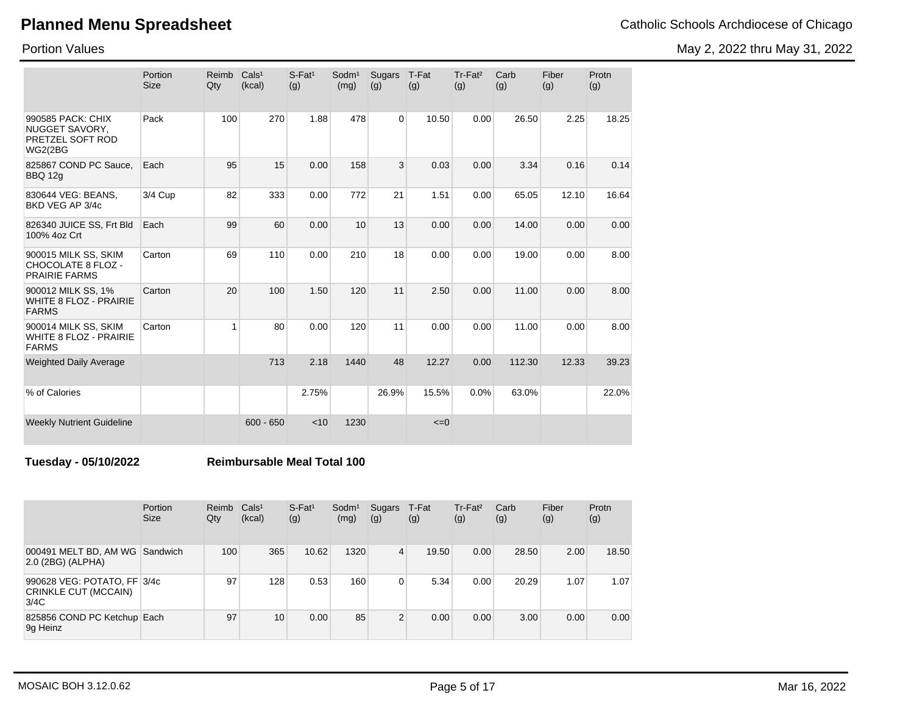Portion Values

| <b>Planned Menu Spreadsheet</b> | Catholic Schools Archdiocese of Chicago |
|---------------------------------|-----------------------------------------|
|---------------------------------|-----------------------------------------|

May 2, 2022 thru May 31, 2022

|                                                                           | Portion<br><b>Size</b> | Reimb<br>Qty | Cals <sup>1</sup><br>(kcal) | $S-Fat1$<br>(g) | Sodm <sup>1</sup><br>(mg) | Sugars<br>(g)  | T-Fat<br>(g) | Tr-Fat <sup>2</sup><br>(g) | Carb<br>(g) | Fiber<br>(g) | Protn<br>(g) |
|---------------------------------------------------------------------------|------------------------|--------------|-----------------------------|-----------------|---------------------------|----------------|--------------|----------------------------|-------------|--------------|--------------|
| 990585 PACK: CHIX<br>NUGGET SAVORY.<br>PRETZEL SOFT ROD<br><b>WG2(2BG</b> | Pack                   | 100          | 270                         | 1.88            | 478                       | $\overline{0}$ | 10.50        | 0.00                       | 26.50       | 2.25         | 18.25        |
| 825867 COND PC Sauce,<br><b>BBQ 12g</b>                                   | Each                   | 95           | 15                          | 0.00            | 158                       | 3              | 0.03         | 0.00                       | 3.34        | 0.16         | 0.14         |
| 830644 VEG: BEANS,<br>BKD VEG AP 3/4c                                     | 3/4 Cup                | 82           | 333                         | 0.00            | 772                       | 21             | 1.51         | 0.00                       | 65.05       | 12.10        | 16.64        |
| 826340 JUICE SS, Frt Bld<br>100% 4oz Crt                                  | Each                   | 99           | 60                          | 0.00            | 10                        | 13             | 0.00         | 0.00                       | 14.00       | 0.00         | 0.00         |
| 900015 MILK SS, SKIM<br>CHOCOLATE 8 FLOZ -<br><b>PRAIRIE FARMS</b>        | Carton                 | 69           | 110                         | 0.00            | 210                       | 18             | 0.00         | 0.00                       | 19.00       | 0.00         | 8.00         |
| 900012 MILK SS, 1%<br><b>WHITE 8 FLOZ - PRAIRIE</b><br><b>FARMS</b>       | Carton                 | 20           | 100                         | 1.50            | 120                       | 11             | 2.50         | 0.00                       | 11.00       | 0.00         | 8.00         |
| 900014 MILK SS, SKIM<br><b>WHITE 8 FLOZ - PRAIRIE</b><br><b>FARMS</b>     | Carton                 | $\mathbf{1}$ | 80                          | 0.00            | 120                       | 11             | 0.00         | 0.00                       | 11.00       | 0.00         | 8.00         |
| <b>Weighted Daily Average</b>                                             |                        |              | 713                         | 2.18            | 1440                      | 48             | 12.27        | 0.00                       | 112.30      | 12.33        | 39.23        |
| % of Calories                                                             |                        |              |                             | 2.75%           |                           | 26.9%          | 15.5%        | 0.0%                       | 63.0%       |              | 22.0%        |
| <b>Weekly Nutrient Guideline</b>                                          |                        |              | $600 - 650$                 | < 10            | 1230                      |                | $\leq=0$     |                            |             |              |              |

**Tuesday - 05/10/2022 Reimbursable Meal Total 100**

|                                                             | Portion<br><b>Size</b> | Reimb<br>Qty | Cals <sup>1</sup><br>(kcal) | $S$ -Fat <sup>1</sup><br>(g) | Sodm <sup>1</sup><br>(mg) | Sugars<br>(g)  | T-Fat<br>(g) | Tr-Fat <sup>2</sup><br>(g) | Carb<br>(g) | Fiber<br>(g) | Protn<br>(g) |
|-------------------------------------------------------------|------------------------|--------------|-----------------------------|------------------------------|---------------------------|----------------|--------------|----------------------------|-------------|--------------|--------------|
| 000491 MELT BD, AM WG<br>2.0 (2BG) (ALPHA)                  | Sandwich               | 100          | 365                         | 10.62                        | 1320                      | $\overline{4}$ | 19.50        | 0.00                       | 28.50       | 2.00         | 18.50        |
| 990628 VEG: POTATO, FF 3/4c<br>CRINKLE CUT (MCCAIN)<br>3/4C |                        | 97           | 128                         | 0.53                         | 160                       | 0              | 5.34         | 0.00                       | 20.29       | 1.07         | 1.07         |
| 825856 COND PC Ketchup Each<br>9g Heinz                     |                        | 97           | 10                          | 0.00                         | 85                        | $\overline{2}$ | 0.00         | 0.00                       | 3.00        | 0.00         | 0.00         |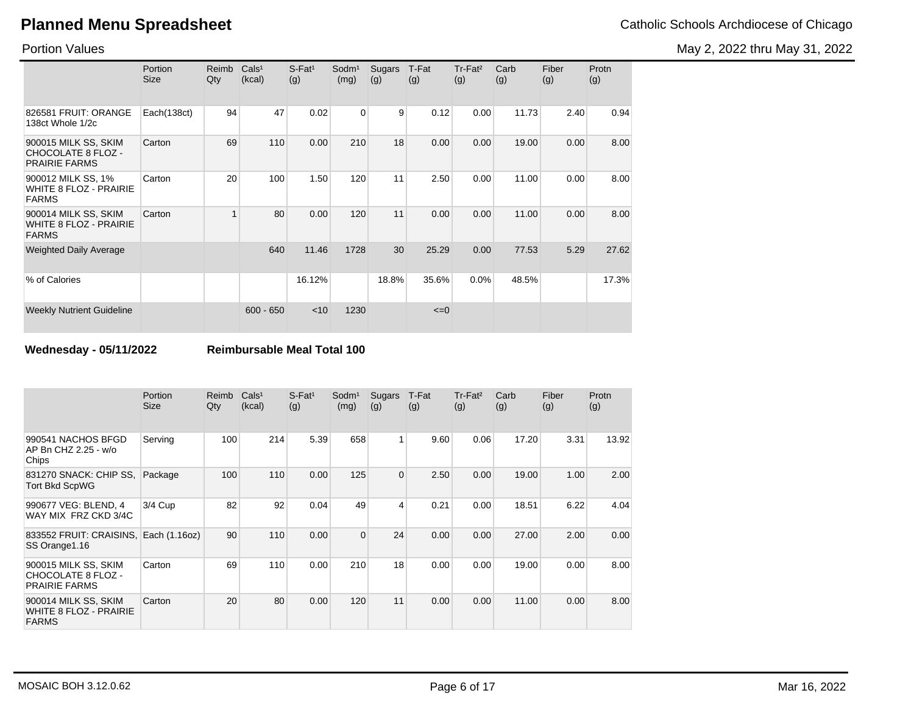Portion Values

|                                                                       | Portion<br><b>Size</b> | Reimb<br>Qty            | Cals <sup>1</sup><br>(kcal) | $S$ -Fat <sup>1</sup><br>(g) | Sodm <sup>1</sup><br>(mg) | Sugars<br>(g) | T-Fat<br>(g) | $Tr-Fat2$<br>(g) | Carb<br>(g) | Fiber<br>(g) | Protn<br>(g) |
|-----------------------------------------------------------------------|------------------------|-------------------------|-----------------------------|------------------------------|---------------------------|---------------|--------------|------------------|-------------|--------------|--------------|
| 826581 FRUIT: ORANGE<br>138ct Whole 1/2c                              | Each(138ct)            | 94                      | 47                          | 0.02                         | 0                         | 9             | 0.12         | 0.00             | 11.73       | 2.40         | 0.94         |
| 900015 MILK SS, SKIM<br>CHOCOLATE 8 FLOZ -<br><b>PRAIRIE FARMS</b>    | Carton                 | 69                      | 110                         | 0.00                         | 210                       | 18            | 0.00         | 0.00             | 19.00       | 0.00         | 8.00         |
| 900012 MILK SS, 1%<br><b>WHITE 8 FLOZ - PRAIRIE</b><br><b>FARMS</b>   | Carton                 | 20                      | 100                         | 1.50                         | 120                       | 11            | 2.50         | 0.00             | 11.00       | 0.00         | 8.00         |
| 900014 MILK SS, SKIM<br><b>WHITE 8 FLOZ - PRAIRIE</b><br><b>FARMS</b> | Carton                 | $\overline{\mathbf{A}}$ | 80                          | 0.00                         | 120                       | 11            | 0.00         | 0.00             | 11.00       | 0.00         | 8.00         |
| <b>Weighted Daily Average</b>                                         |                        |                         | 640                         | 11.46                        | 1728                      | 30            | 25.29        | 0.00             | 77.53       | 5.29         | 27.62        |
| % of Calories                                                         |                        |                         |                             | 16.12%                       |                           | 18.8%         | 35.6%        | 0.0%             | 48.5%       |              | 17.3%        |
| <b>Weekly Nutrient Guideline</b>                                      |                        |                         | $600 - 650$                 | $<$ 10                       | 1230                      |               | $\leq=0$     |                  |             |              |              |

**Wednesday - 05/11/2022 Reimbursable Meal Total 100**

|                                                                       | Portion<br><b>Size</b> | Reimb<br>Qty | Cals <sup>1</sup><br>(kcal) | $S$ -Fat <sup>1</sup><br>(g) | Sodm <sup>1</sup><br>(mg) | Sugars<br>(g) | T-Fat<br>(g) | Tr-Fat <sup>2</sup><br>(g) | Carb<br>(g) | Fiber<br>(g) | Protn<br>(g) |
|-----------------------------------------------------------------------|------------------------|--------------|-----------------------------|------------------------------|---------------------------|---------------|--------------|----------------------------|-------------|--------------|--------------|
| 990541 NACHOS BFGD<br>AP Bn CHZ 2.25 - w/o<br>Chips                   | Serving                | 100          | 214                         | 5.39                         | 658                       | 1             | 9.60         | 0.06                       | 17.20       | 3.31         | 13.92        |
| 831270 SNACK: CHIP SS,<br><b>Tort Bkd ScpWG</b>                       | Package                | 100          | 110                         | 0.00                         | 125                       | 0             | 2.50         | 0.00                       | 19.00       | 1.00         | 2.00         |
| 990677 VEG: BLEND, 4<br>WAY MIX FRZ CKD 3/4C                          | 3/4 Cup                | 82           | 92                          | 0.04                         | 49                        | 4             | 0.21         | 0.00                       | 18.51       | 6.22         | 4.04         |
| 833552 FRUIT: CRAISINS, Each (1.16oz)<br>SS Orange 1.16               |                        | 90           | 110                         | 0.00                         | $\mathbf{0}$              | 24            | 0.00         | 0.00                       | 27.00       | 2.00         | 0.00         |
| 900015 MILK SS, SKIM<br>CHOCOLATE 8 FLOZ -<br><b>PRAIRIE FARMS</b>    | Carton                 | 69           | 110                         | 0.00                         | 210                       | 18            | 0.00         | 0.00                       | 19.00       | 0.00         | 8.00         |
| 900014 MILK SS, SKIM<br><b>WHITE 8 FLOZ - PRAIRIE</b><br><b>FARMS</b> | Carton                 | 20           | 80                          | 0.00                         | 120                       | 11            | 0.00         | 0.00                       | 11.00       | 0.00         | 8.00         |

May 2, 2022 thru May 31, 2022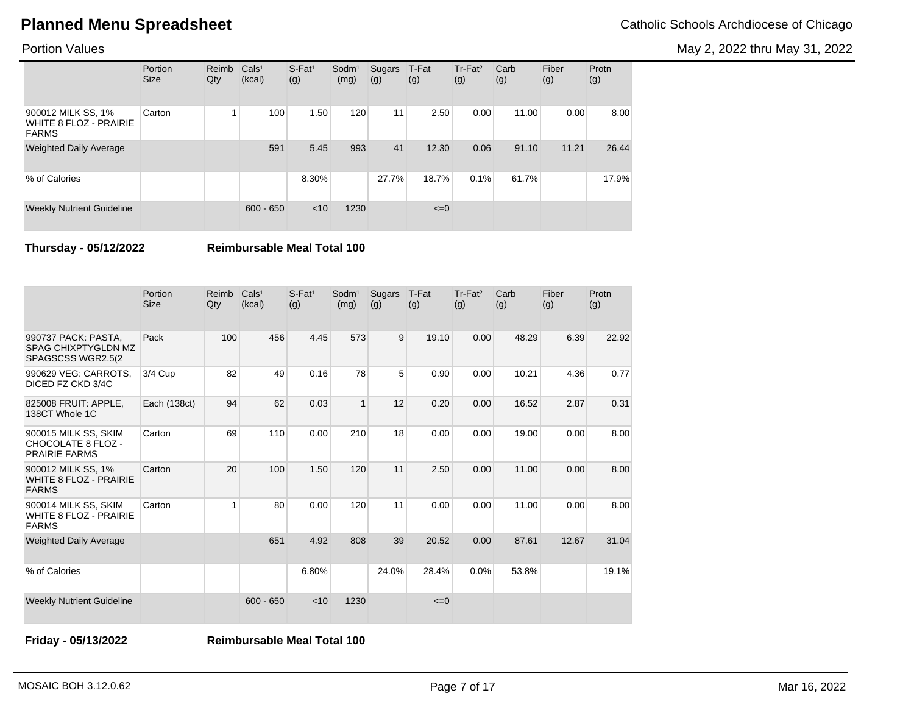May 2, 2022 thru May 31, 2022

| <b>Portion Values</b> |  |
|-----------------------|--|
|-----------------------|--|

|                                                              | Portion<br><b>Size</b> | Reimb<br>Qty | Cals <sup>1</sup><br>(kcal) | $S$ -Fat <sup>1</sup><br>(g) | Sodm <sup>1</sup><br>(mg) | Sugars<br>(g) | T-Fat<br>(g) | Tr-Fat <sup>2</sup><br>(g) | Carb<br>(g) | Fiber<br>(g) | Protn<br>(g) |
|--------------------------------------------------------------|------------------------|--------------|-----------------------------|------------------------------|---------------------------|---------------|--------------|----------------------------|-------------|--------------|--------------|
| 900012 MILK SS, 1%<br>WHITE 8 FLOZ - PRAIRIE<br><b>FARMS</b> | Carton                 |              | 100                         | 1.50                         | 120                       | 11            | 2.50         | 0.00                       | 11.00       | 0.00         | 8.00         |
| <b>Weighted Daily Average</b>                                |                        |              | 591                         | 5.45                         | 993                       | 41            | 12.30        | 0.06                       | 91.10       | 11.21        | 26.44        |
| % of Calories                                                |                        |              |                             | 8.30%                        |                           | 27.7%         | 18.7%        | 0.1%                       | 61.7%       |              | 17.9%        |
| <b>Weekly Nutrient Guideline</b>                             |                        |              | $600 - 650$                 | < 10                         | 1230                      |               | $\leq=0$     |                            |             |              |              |

**Thursday - 05/12/2022 Reimbursable Meal Total 100**

|                                                                         | Portion<br><b>Size</b> | Reimb<br>Qty | Cals <sup>1</sup><br>(kcal) | $S$ -Fat <sup>1</sup><br>(g) | $S$ odm $1$<br>(mg) | Sugars<br>(g) | T-Fat<br>(g) | Tr-Fat <sup>2</sup><br>(g) | Carb<br>(g) | Fiber<br>(g) | Protn<br>(g) |
|-------------------------------------------------------------------------|------------------------|--------------|-----------------------------|------------------------------|---------------------|---------------|--------------|----------------------------|-------------|--------------|--------------|
| 990737 PACK: PASTA,<br><b>SPAG CHIXPTYGLDN MZ</b><br>SPAGSCSS WGR2.5(2) | Pack                   | 100          | 456                         | 4.45                         | 573                 | 9             | 19.10        | 0.00                       | 48.29       | 6.39         | 22.92        |
| 990629 VEG: CARROTS,<br>DICED FZ CKD 3/4C                               | 3/4 Cup                | 82           | 49                          | 0.16                         | 78                  | 5             | 0.90         | 0.00                       | 10.21       | 4.36         | 0.77         |
| 825008 FRUIT: APPLE,<br>138CT Whole 1C                                  | Each (138ct)           | 94           | 62                          | 0.03                         | $\mathbf{1}$        | 12            | 0.20         | 0.00                       | 16.52       | 2.87         | 0.31         |
| 900015 MILK SS, SKIM<br>CHOCOLATE 8 FLOZ -<br><b>PRAIRIE FARMS</b>      | Carton                 | 69           | 110                         | 0.00                         | 210                 | 18            | 0.00         | 0.00                       | 19.00       | 0.00         | 8.00         |
| 900012 MILK SS, 1%<br><b>WHITE 8 FLOZ - PRAIRIE</b><br><b>FARMS</b>     | Carton                 | 20           | 100                         | 1.50                         | 120                 | 11            | 2.50         | 0.00                       | 11.00       | 0.00         | 8.00         |
| 900014 MILK SS, SKIM<br><b>WHITE 8 FLOZ - PRAIRIE</b><br><b>FARMS</b>   | Carton                 | 1            | 80                          | 0.00                         | 120                 | 11            | 0.00         | 0.00                       | 11.00       | 0.00         | 8.00         |
| <b>Weighted Daily Average</b>                                           |                        |              | 651                         | 4.92                         | 808                 | 39            | 20.52        | 0.00                       | 87.61       | 12.67        | 31.04        |
| % of Calories                                                           |                        |              |                             | 6.80%                        |                     | 24.0%         | 28.4%        | 0.0%                       | 53.8%       |              | 19.1%        |
| <b>Weekly Nutrient Guideline</b>                                        |                        |              | $600 - 650$                 | < 10                         | 1230                |               | $\leq=0$     |                            |             |              |              |

**Friday - 05/13/2022 Reimbursable Meal Total 100**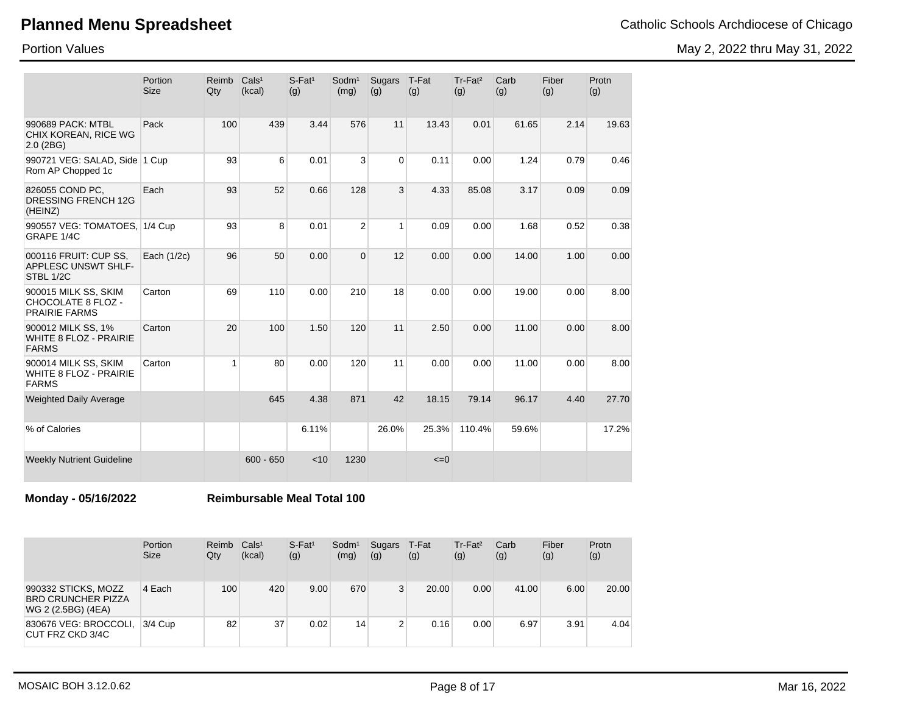# **Planned Menu Spreadsheet**

### Portion Values

May 2, 2022 thru May 31, 2022

|                                                                       | Portion<br><b>Size</b> | Reimb<br>Qty | Cals <sup>1</sup><br>(kcal) | $S$ -Fat <sup>1</sup><br>(g) | Sodm <sup>1</sup><br>(mg) | Sugars<br>(g)  | T-Fat<br>(g)        | Tr-Fat <sup>2</sup><br>(g) | Carb<br>(g) | Fiber<br>(g) | Protn<br>(g) |
|-----------------------------------------------------------------------|------------------------|--------------|-----------------------------|------------------------------|---------------------------|----------------|---------------------|----------------------------|-------------|--------------|--------------|
| 990689 PACK: MTBL<br>CHIX KOREAN, RICE WG<br>$2.0$ (2BG)              | Pack                   | 100          | 439                         | 3.44                         | 576                       | 11             | 13.43               | 0.01                       | 61.65       | 2.14         | 19.63        |
| 990721 VEG: SALAD, Side 1 Cup<br>Rom AP Chopped 1c                    |                        | 93           | 6                           | 0.01                         | 3                         | $\overline{0}$ | 0.11                | 0.00                       | 1.24        | 0.79         | 0.46         |
| 826055 COND PC,<br><b>DRESSING FRENCH 12G</b><br>(HEINZ)              | Each                   | 93           | 52                          | 0.66                         | 128                       | 3              | 4.33                | 85.08                      | 3.17        | 0.09         | 0.09         |
| 990557 VEG: TOMATOES, 1/4 Cup<br>GRAPE 1/4C                           |                        | 93           | 8                           | 0.01                         | $\overline{2}$            | $\mathbf{1}$   | 0.09                | 0.00                       | 1.68        | 0.52         | 0.38         |
| 000116 FRUIT: CUP SS,<br><b>APPLESC UNSWT SHLF-</b><br>STBL 1/2C      | Each (1/2c)            | 96           | 50                          | 0.00                         | $\Omega$                  | 12             | 0.00                | 0.00                       | 14.00       | 1.00         | 0.00         |
| 900015 MILK SS, SKIM<br>CHOCOLATE 8 FLOZ -<br><b>PRAIRIE FARMS</b>    | Carton                 | 69           | 110                         | 0.00                         | 210                       | 18             | 0.00                | 0.00                       | 19.00       | 0.00         | 8.00         |
| 900012 MILK SS, 1%<br><b>WHITE 8 FLOZ - PRAIRIE</b><br><b>FARMS</b>   | Carton                 | 20           | 100                         | 1.50                         | 120                       | 11             | 2.50                | 0.00                       | 11.00       | 0.00         | 8.00         |
| 900014 MILK SS, SKIM<br><b>WHITE 8 FLOZ - PRAIRIE</b><br><b>FARMS</b> | Carton                 | 1            | 80                          | 0.00                         | 120                       | 11             | 0.00                | 0.00                       | 11.00       | 0.00         | 8.00         |
| <b>Weighted Daily Average</b>                                         |                        |              | 645                         | 4.38                         | 871                       | 42             | 18.15               | 79.14                      | 96.17       | 4.40         | 27.70        |
| % of Calories                                                         |                        |              |                             | 6.11%                        |                           | 26.0%          | 25.3%               | 110.4%                     | 59.6%       |              | 17.2%        |
| <b>Weekly Nutrient Guideline</b>                                      |                        |              | $600 - 650$                 | < 10                         | 1230                      |                | $\leq$ $=$ $\theta$ |                            |             |              |              |

**Monday - 05/16/2022 Reimbursable Meal Total 100**

|                                                                        | Portion<br><b>Size</b> | Reimb<br>Qty | Cals <sup>1</sup><br>(kcal) | $S$ -Fat <sup>1</sup><br>(g) | Sodm <sup>1</sup><br>(mg) | Sugars<br>(g) | T-Fat<br>(g) | Tr-Fat <sup>2</sup><br>(g) | Carb<br>(g) | Fiber<br>(g) | Protn<br>(g) |
|------------------------------------------------------------------------|------------------------|--------------|-----------------------------|------------------------------|---------------------------|---------------|--------------|----------------------------|-------------|--------------|--------------|
| 990332 STICKS, MOZZ<br><b>BRD CRUNCHER PIZZA</b><br>WG 2 (2.5BG) (4EA) | 4 Each                 | 100          | 420                         | 9.00                         | 670                       | 3             | 20.00        | 0.00                       | 41.00       | 6.00         | 20.00        |
| 830676 VEG: BROCCOLI,<br>CUT FRZ CKD 3/4C                              | 3/4 Cup                | 82           | 37                          | 0.02                         | 14                        | 2             | 0.16         | 0.00                       | 6.97        | 3.91         | 4.04         |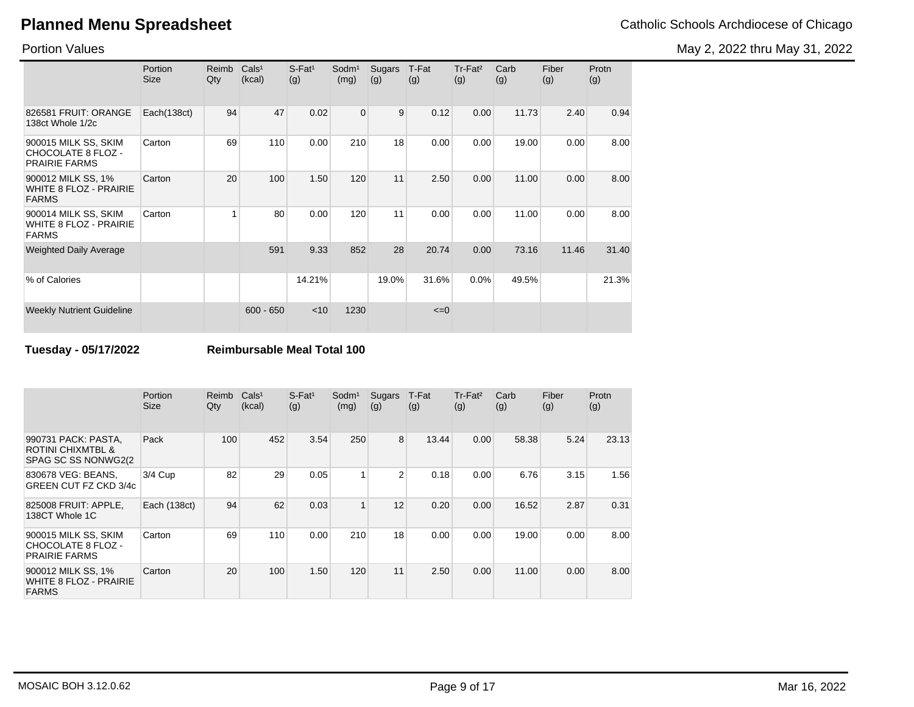Portion Values

|                                                                    | Portion<br><b>Size</b> | Reimb<br>Qty | Cals <sup>1</sup><br>(kcal) | $S$ -Fat <sup>1</sup><br>(g) | Sodm <sup>1</sup><br>(mg) | Sugars<br>(g) | T-Fat<br>(g) | Tr-Fat <sup>2</sup><br>(g) | Carb<br>(g) | Fiber<br>(g) | Protn<br>(g) |
|--------------------------------------------------------------------|------------------------|--------------|-----------------------------|------------------------------|---------------------------|---------------|--------------|----------------------------|-------------|--------------|--------------|
| 826581 FRUIT: ORANGE<br>138ct Whole 1/2c                           | Each(138ct)            | 94           | 47                          | 0.02                         | $\overline{0}$            | 9             | 0.12         | 0.00                       | 11.73       | 2.40         | 0.94         |
| 900015 MILK SS, SKIM<br>CHOCOLATE 8 FLOZ -<br><b>PRAIRIE FARMS</b> | Carton                 | 69           | 110                         | 0.00                         | 210                       | 18            | 0.00         | 0.00                       | 19.00       | 0.00         | 8.00         |
| 900012 MILK SS, 1%<br>WHITE 8 FLOZ - PRAIRIE<br><b>FARMS</b>       | Carton                 | 20           | 100                         | 1.50                         | 120                       | 11            | 2.50         | 0.00                       | 11.00       | 0.00         | 8.00         |
| 900014 MILK SS, SKIM<br>WHITE 8 FLOZ - PRAIRIE<br><b>FARMS</b>     | Carton                 |              | 80                          | 0.00                         | 120                       | 11            | 0.00         | 0.00                       | 11.00       | 0.00         | 8.00         |
| <b>Weighted Daily Average</b>                                      |                        |              | 591                         | 9.33                         | 852                       | 28            | 20.74        | 0.00                       | 73.16       | 11.46        | 31.40        |
| % of Calories                                                      |                        |              |                             | 14.21%                       |                           | 19.0%         | 31.6%        | 0.0%                       | 49.5%       |              | 21.3%        |
| <b>Weekly Nutrient Guideline</b>                                   |                        |              | $600 - 650$                 | $<$ 10                       | 1230                      |               | $\leq=0$     |                            |             |              |              |

**Tuesday - 05/17/2022 Reimbursable Meal Total 100**

|                                                                             | <b>Portion</b><br><b>Size</b> | Reimb<br>Qty | Cals <sup>1</sup><br>(kcal) | $S$ -Fat <sup>1</sup><br>(g) | Sodm <sup>1</sup><br>(mg) | Sugars<br>(g) | T-Fat<br>(g) | Tr-Fat <sup>2</sup><br>(g) | Carb<br>(g) | Fiber<br>(g) | Protn<br>(g) |
|-----------------------------------------------------------------------------|-------------------------------|--------------|-----------------------------|------------------------------|---------------------------|---------------|--------------|----------------------------|-------------|--------------|--------------|
| 990731 PACK: PASTA,<br><b>ROTINI CHIXMTBL &amp;</b><br>SPAG SC SS NONWG2(2) | Pack                          | 100          | 452                         | 3.54                         | 250                       | 8             | 13.44        | 0.00                       | 58.38       | 5.24         | 23.13        |
| 830678 VEG: BEANS,<br>GREEN CUT FZ CKD 3/4c                                 | 3/4 Cup                       | 82           | 29                          | 0.05                         |                           | 2             | 0.18         | 0.00                       | 6.76        | 3.15         | 1.56         |
| 825008 FRUIT: APPLE,<br>138CT Whole 1C                                      | Each (138ct)                  | 94           | 62                          | 0.03                         | 1                         | 12            | 0.20         | 0.00                       | 16.52       | 2.87         | 0.31         |
| 900015 MILK SS, SKIM<br>CHOCOLATE 8 FLOZ -<br><b>PRAIRIE FARMS</b>          | Carton                        | 69           | 110                         | 0.00                         | 210                       | 18            | 0.00         | 0.00                       | 19.00       | 0.00         | 8.00         |
| 900012 MILK SS, 1%<br>WHITE 8 FLOZ - PRAIRIE<br><b>FARMS</b>                | Carton                        | 20           | 100                         | 1.50                         | 120                       | 11            | 2.50         | 0.00                       | 11.00       | 0.00         | 8.00         |

May 2, 2022 thru May 31, 2022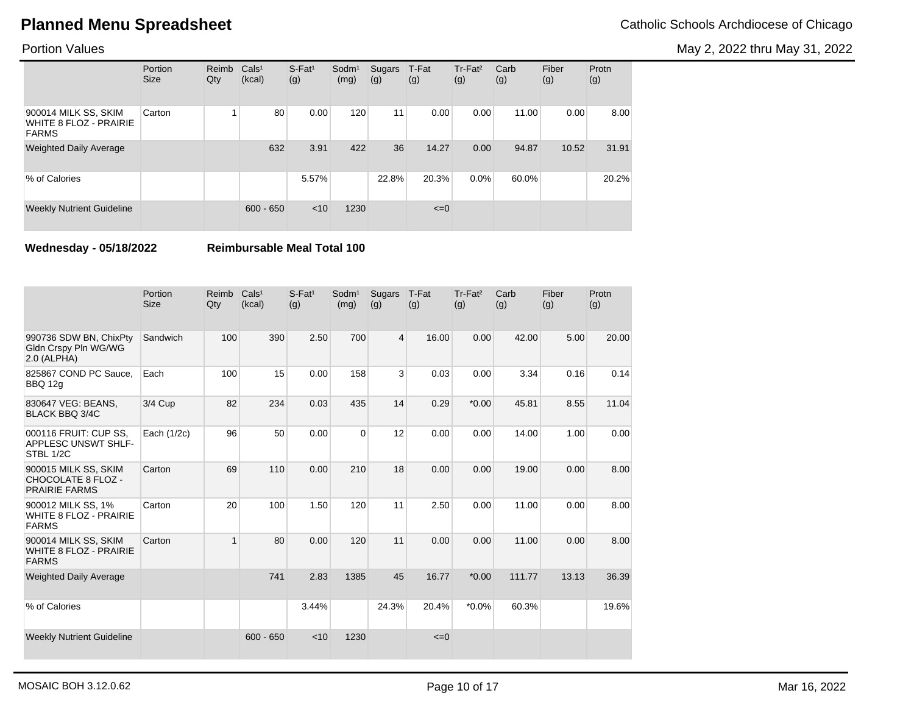May 2, 2022 thru May 31, 2022

### Portion Values

|                                                                       | Portion<br><b>Size</b> | Reimb<br>Qty | Cals <sup>1</sup><br>(kcal) | $S$ -Fat <sup>1</sup><br>(g) | $S$ odm $1$<br>(mg) | Sugars<br>(g) | T-Fat<br>(g) | Tr-Fat <sup>2</sup><br>(g) | Carb<br>(g) | Fiber<br>(g) | Protn<br>(g) |
|-----------------------------------------------------------------------|------------------------|--------------|-----------------------------|------------------------------|---------------------|---------------|--------------|----------------------------|-------------|--------------|--------------|
| 900014 MILK SS, SKIM<br><b>WHITE 8 FLOZ - PRAIRIE</b><br><b>FARMS</b> | Carton                 |              | 80                          | 0.00                         | 120                 | 11            | 0.00         | 0.00                       | 11.00       | 0.00         | 8.00         |
| <b>Weighted Daily Average</b>                                         |                        |              | 632                         | 3.91                         | 422                 | 36            | 14.27        | 0.00                       | 94.87       | 10.52        | 31.91        |
| % of Calories                                                         |                        |              |                             | 5.57%                        |                     | 22.8%         | 20.3%        | $0.0\%$                    | 60.0%       |              | 20.2%        |
| <b>Weekly Nutrient Guideline</b>                                      |                        |              | $600 - 650$                 | < 10                         | 1230                |               | $\leq=0$     |                            |             |              |              |

**Wednesday - 05/18/2022 Reimbursable Meal Total 100**

|                                                                       | Portion<br><b>Size</b> | Reimb<br>Qty | Cals <sup>1</sup><br>(kcal) | $S-Fat1$<br>(g) | Sodm <sup>1</sup><br>(mg) | <b>Sugars</b><br>(g) | T-Fat<br>(g) | Tr-Fat <sup>2</sup><br>(g) | Carb<br>(g) | Fiber<br>(g) | Protn<br>(g) |
|-----------------------------------------------------------------------|------------------------|--------------|-----------------------------|-----------------|---------------------------|----------------------|--------------|----------------------------|-------------|--------------|--------------|
| 990736 SDW BN, ChixPty<br>Gldn Crspy Pln WG/WG<br>2.0 (ALPHA)         | Sandwich               | 100          | 390                         | 2.50            | 700                       | $\overline{4}$       | 16.00        | 0.00                       | 42.00       | 5.00         | 20.00        |
| 825867 COND PC Sauce,<br><b>BBQ 12g</b>                               | Each                   | 100          | 15                          | 0.00            | 158                       | 3                    | 0.03         | 0.00                       | 3.34        | 0.16         | 0.14         |
| 830647 VEG: BEANS,<br><b>BLACK BBQ 3/4C</b>                           | 3/4 Cup                | 82           | 234                         | 0.03            | 435                       | 14                   | 0.29         | $*0.00$                    | 45.81       | 8.55         | 11.04        |
| 000116 FRUIT: CUP SS,<br>APPLESC UNSWT SHLF-<br>STBL 1/2C             | Each (1/2c)            | 96           | 50                          | 0.00            | $\Omega$                  | 12                   | 0.00         | 0.00                       | 14.00       | 1.00         | 0.00         |
| 900015 MILK SS, SKIM<br>CHOCOLATE 8 FLOZ -<br><b>PRAIRIE FARMS</b>    | Carton                 | 69           | 110                         | 0.00            | 210                       | 18                   | 0.00         | 0.00                       | 19.00       | 0.00         | 8.00         |
| 900012 MILK SS, 1%<br><b>WHITE 8 FLOZ - PRAIRIE</b><br><b>FARMS</b>   | Carton                 | 20           | 100                         | 1.50            | 120                       | 11                   | 2.50         | 0.00                       | 11.00       | 0.00         | 8.00         |
| 900014 MILK SS, SKIM<br><b>WHITE 8 FLOZ - PRAIRIE</b><br><b>FARMS</b> | Carton                 | $\mathbf{1}$ | 80                          | 0.00            | 120                       | 11                   | 0.00         | 0.00                       | 11.00       | 0.00         | 8.00         |
| <b>Weighted Daily Average</b>                                         |                        |              | 741                         | 2.83            | 1385                      | 45                   | 16.77        | $*0.00$                    | 111.77      | 13.13        | 36.39        |
| % of Calories                                                         |                        |              |                             | 3.44%           |                           | 24.3%                | 20.4%        | $*0.0\%$                   | 60.3%       |              | 19.6%        |
| <b>Weekly Nutrient Guideline</b>                                      |                        |              | $600 - 650$                 | < 10            | 1230                      |                      | $\leq=0$     |                            |             |              |              |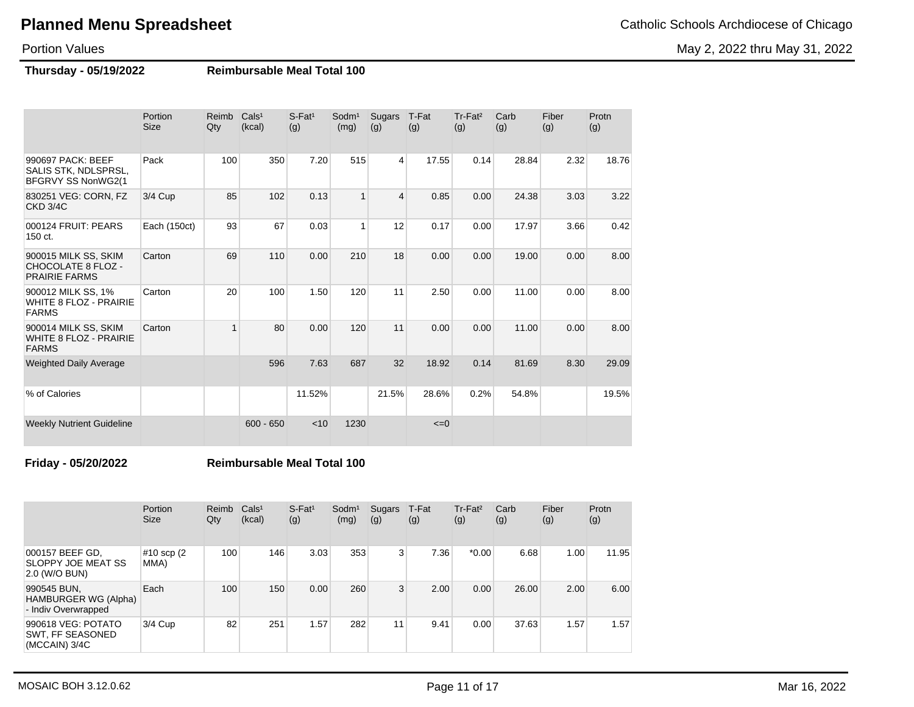May 2, 2022 thru May 31, 2022

Portion Values

**Thursday - 05/19/2022 Reimbursable Meal Total 100**

|                                                                           | Portion<br><b>Size</b> | Reimb<br>Qty | Cals <sup>1</sup><br>(kcal) | $S$ -Fat <sup>1</sup><br>(g) | Sodm <sup>1</sup><br>(mg) | Sugars<br>(g)  | T-Fat<br>(g) | Tr-Fat <sup>2</sup><br>(g) | Carb<br>(g) | Fiber<br>(g) | Protn<br>(g) |
|---------------------------------------------------------------------------|------------------------|--------------|-----------------------------|------------------------------|---------------------------|----------------|--------------|----------------------------|-------------|--------------|--------------|
| 990697 PACK: BEEF<br>SALIS STK, NDLSPRSL,<br>BFGRVY SS NonWG2(1           | Pack                   | 100          | 350                         | 7.20                         | 515                       | 4              | 17.55        | 0.14                       | 28.84       | 2.32         | 18.76        |
| 830251 VEG: CORN, FZ<br><b>CKD 3/4C</b>                                   | 3/4 Cup                | 85           | 102                         | 0.13                         |                           | $\overline{4}$ | 0.85         | 0.00                       | 24.38       | 3.03         | 3.22         |
| 000124 FRUIT: PEARS<br>150 ct.                                            | Each (150ct)           | 93           | 67                          | 0.03                         | 1                         | 12             | 0.17         | 0.00                       | 17.97       | 3.66         | 0.42         |
| 900015 MILK SS, SKIM<br><b>CHOCOLATE 8 FLOZ -</b><br><b>PRAIRIE FARMS</b> | Carton                 | 69           | 110                         | 0.00                         | 210                       | 18             | 0.00         | 0.00                       | 19.00       | 0.00         | 8.00         |
| 900012 MILK SS, 1%<br><b>WHITE 8 FLOZ - PRAIRIE</b><br><b>FARMS</b>       | Carton                 | 20           | 100                         | 1.50                         | 120                       | 11             | 2.50         | 0.00                       | 11.00       | 0.00         | 8.00         |
| 900014 MILK SS, SKIM<br><b>WHITE 8 FLOZ - PRAIRIE</b><br><b>FARMS</b>     | Carton                 | $\mathbf{1}$ | 80                          | 0.00                         | 120                       | 11             | 0.00         | 0.00                       | 11.00       | 0.00         | 8.00         |
| <b>Weighted Daily Average</b>                                             |                        |              | 596                         | 7.63                         | 687                       | 32             | 18.92        | 0.14                       | 81.69       | 8.30         | 29.09        |
| % of Calories                                                             |                        |              |                             | 11.52%                       |                           | 21.5%          | 28.6%        | 0.2%                       | 54.8%       |              | 19.5%        |
| <b>Weekly Nutrient Guideline</b>                                          |                        |              | $600 - 650$                 | < 10                         | 1230                      |                | $\leq=0$     |                            |             |              |              |

**Friday - 05/20/2022 Reimbursable Meal Total 100**

|                                                            | Portion<br><b>Size</b> | Reimb<br>Qty | Cals <sup>1</sup><br>(kcal) | $S$ -Fat <sup>1</sup><br>(g) | Sodm <sup>1</sup><br>(mg) | Sugars<br>(g) | T-Fat<br>(g) | Tr-Fat <sup>2</sup><br>(g) | Carb<br>(g) | Fiber<br>(g) | Protn<br>(g) |
|------------------------------------------------------------|------------------------|--------------|-----------------------------|------------------------------|---------------------------|---------------|--------------|----------------------------|-------------|--------------|--------------|
| 000157 BEEF GD,<br>SLOPPY JOE MEAT SS<br>2.0 (W/O BUN)     | #10 scp (2)<br>MMA)    | 100          | 146                         | 3.03                         | 353                       | 3             | 7.36         | $*0.00$                    | 6.68        | 1.00         | 11.95        |
| 990545 BUN.<br>HAMBURGER WG (Alpha)<br>- Indiv Overwrapped | Each                   | 100          | 150                         | 0.00                         | 260                       | 3             | 2.00         | 0.00                       | 26.00       | 2.00         | 6.00         |
| 990618 VEG: POTATO<br>SWT, FF SEASONED<br>$(MCCAIN)$ 3/4C  | $3/4$ Cup              | 82           | 251                         | .57                          | 282                       | 11            | 9.41         | 0.00                       | 37.63       | 1.57         | 1.57         |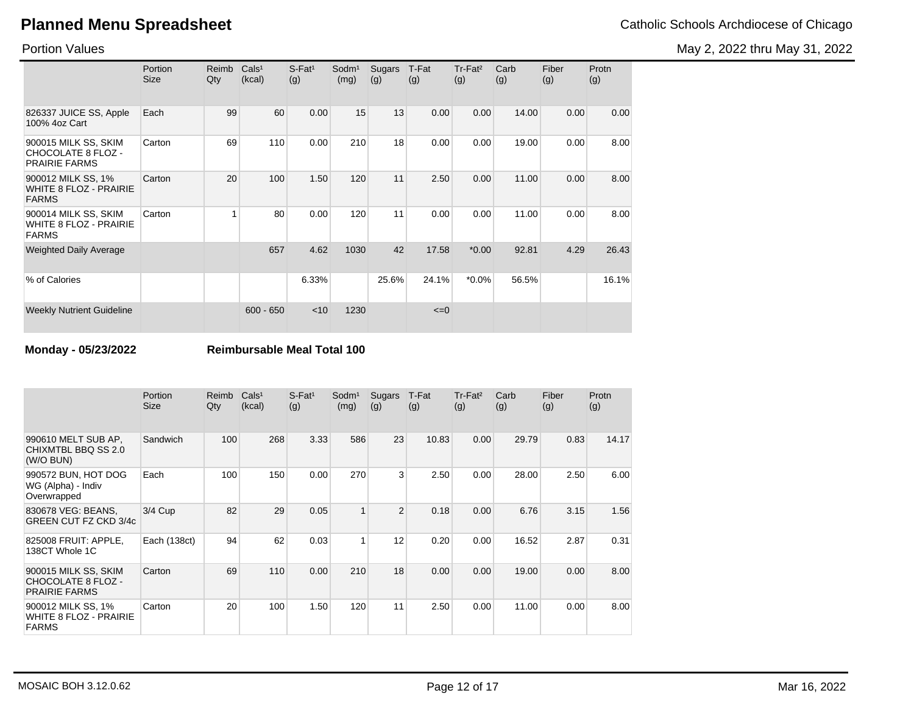May 2, 2022 thru May 31, 2022

Portion Values

|                                                                       | Portion<br><b>Size</b> | Reimb<br>Qty | Cals <sup>1</sup><br>(kcal) | $S$ -Fat <sup>1</sup><br>(g) | Sodm <sup>1</sup><br>(mg) | Sugars<br>(g) | T-Fat<br>(g) | $Tr-Fat2$<br>(g) | Carb<br>(g) | Fiber<br>(g) | Protn<br>(g) |
|-----------------------------------------------------------------------|------------------------|--------------|-----------------------------|------------------------------|---------------------------|---------------|--------------|------------------|-------------|--------------|--------------|
| 826337 JUICE SS, Apple<br>100% 4oz Cart                               | Each                   | 99           | 60                          | 0.00                         | 15                        | 13            | 0.00         | 0.00             | 14.00       | 0.00         | 0.00         |
| 900015 MILK SS, SKIM<br>CHOCOLATE 8 FLOZ -<br><b>PRAIRIE FARMS</b>    | Carton                 | 69           | 110                         | 0.00                         | 210                       | 18            | 0.00         | 0.00             | 19.00       | 0.00         | 8.00         |
| 900012 MILK SS, 1%<br><b>WHITE 8 FLOZ - PRAIRIE</b><br><b>FARMS</b>   | Carton                 | 20           | 100                         | 1.50                         | 120                       | 11            | 2.50         | 0.00             | 11.00       | 0.00         | 8.00         |
| 900014 MILK SS, SKIM<br><b>WHITE 8 FLOZ - PRAIRIE</b><br><b>FARMS</b> | Carton                 |              | 80                          | 0.00                         | 120                       | 11            | 0.00         | 0.00             | 11.00       | 0.00         | 8.00         |
| <b>Weighted Daily Average</b>                                         |                        |              | 657                         | 4.62                         | 1030                      | 42            | 17.58        | $*0.00$          | 92.81       | 4.29         | 26.43        |
| % of Calories                                                         |                        |              |                             | 6.33%                        |                           | 25.6%         | 24.1%        | $*0.0\%$         | 56.5%       |              | 16.1%        |
| <b>Weekly Nutrient Guideline</b>                                      |                        |              | $600 - 650$                 | $<$ 10                       | 1230                      |               | $\leq=0$     |                  |             |              |              |

**Monday - 05/23/2022 Reimbursable Meal Total 100**

|                                                                           | Portion<br><b>Size</b> | Reimb<br>Qty | Cals <sup>1</sup><br>(kcal) | $S$ -Fat <sup>1</sup><br>(g) | Sodm <sup>1</sup><br>(mg) | Sugars<br>(g)  | T-Fat<br>(g) | Tr-Fat <sup>2</sup><br>(g) | Carb<br>(g) | Fiber<br>(g) | Protn<br>(g) |
|---------------------------------------------------------------------------|------------------------|--------------|-----------------------------|------------------------------|---------------------------|----------------|--------------|----------------------------|-------------|--------------|--------------|
| 990610 MELT SUB AP,<br>CHIXMTBL BBQ SS 2.0<br>(W/O BUN)                   | Sandwich               | 100          | 268                         | 3.33                         | 586                       | 23             | 10.83        | 0.00                       | 29.79       | 0.83         | 14.17        |
| 990572 BUN, HOT DOG<br>WG (Alpha) - Indiv<br>Overwrapped                  | Each                   | 100          | 150                         | 0.00                         | 270                       | 3 <sup>1</sup> | 2.50         | 0.00                       | 28.00       | 2.50         | 6.00         |
| 830678 VEG: BEANS,<br><b>GREEN CUT FZ CKD 3/4c</b>                        | $3/4$ Cup              | 82           | 29                          | 0.05                         | 1                         | $\overline{2}$ | 0.18         | 0.00                       | 6.76        | 3.15         | 1.56         |
| 825008 FRUIT: APPLE.<br>138CT Whole 1C                                    | Each (138ct)           | 94           | 62                          | 0.03                         | 1                         | 12             | 0.20         | 0.00                       | 16.52       | 2.87         | 0.31         |
| 900015 MILK SS, SKIM<br><b>CHOCOLATE 8 FLOZ -</b><br><b>PRAIRIE FARMS</b> | Carton                 | 69           | 110                         | 0.00                         | 210                       | 18             | 0.00         | 0.00                       | 19.00       | 0.00         | 8.00         |
| 900012 MILK SS, 1%<br><b>WHITE 8 FLOZ - PRAIRIE</b><br><b>FARMS</b>       | Carton                 | 20           | 100                         | 1.50                         | 120                       | 11             | 2.50         | 0.00                       | 11.00       | 0.00         | 8.00         |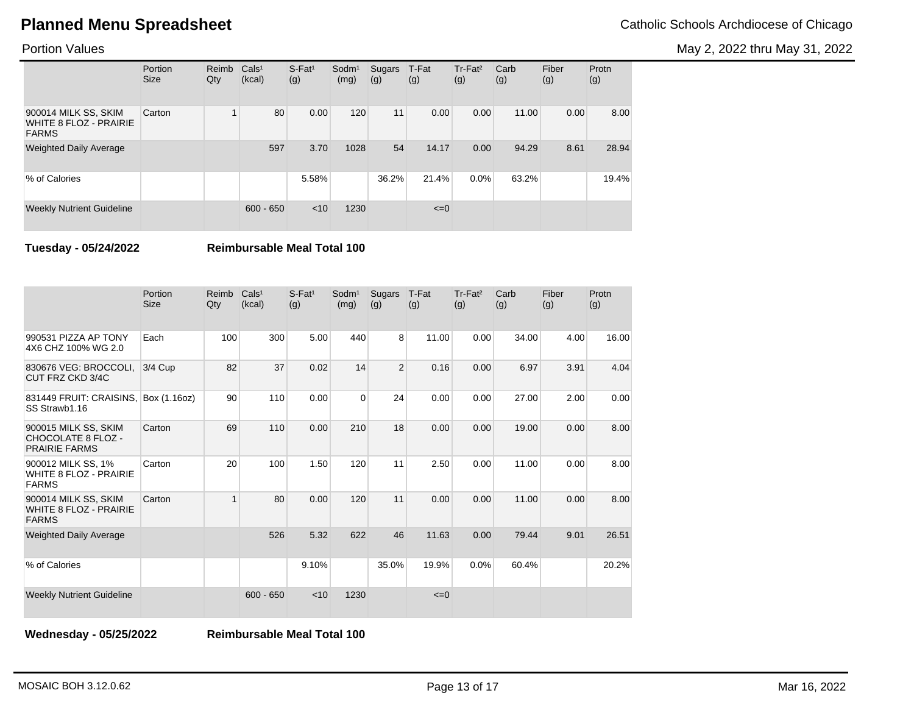May 2, 2022 thru May 31, 2022

### Portion Values

|                                                                | Portion<br><b>Size</b> | Reimb<br>Qty | Cals <sup>1</sup><br>(kcal) | $S$ -Fat <sup>1</sup><br>(g) | $S$ odm $1$<br>(mg) | Sugars<br>(g) | T-Fat<br>(g) | Tr-Fat <sup>2</sup><br>(g) | Carb<br>(g) | Fiber<br>(g) | Protn<br>(g) |
|----------------------------------------------------------------|------------------------|--------------|-----------------------------|------------------------------|---------------------|---------------|--------------|----------------------------|-------------|--------------|--------------|
| 900014 MILK SS, SKIM<br>WHITE 8 FLOZ - PRAIRIE<br><b>FARMS</b> | Carton                 |              | 80                          | 0.00                         | 120                 | 11            | 0.00         | 0.00                       | 11.00       | 0.00         | 8.00         |
| <b>Weighted Daily Average</b>                                  |                        |              | 597                         | 3.70                         | 1028                | 54            | 14.17        | 0.00                       | 94.29       | 8.61         | 28.94        |
| % of Calories                                                  |                        |              |                             | 5.58%                        |                     | 36.2%         | 21.4%        | 0.0%                       | 63.2%       |              | 19.4%        |
| <b>Weekly Nutrient Guideline</b>                               |                        |              | $600 - 650$                 | < 10                         | 1230                |               | $\leq=0$     |                            |             |              |              |

**Tuesday - 05/24/2022 Reimbursable Meal Total 100**

|                                                                       | Portion<br><b>Size</b> | Reimb<br>Qty | Cals <sup>1</sup><br>(kcal) | $S-Fat1$<br>(g) | Sodm <sup>1</sup><br>(mg) | Sugars<br>(g)  | T-Fat<br>(g) | Tr-Fat <sup>2</sup><br>(g) | Carb<br>(g) | Fiber<br>(g) | Protn<br>(g) |
|-----------------------------------------------------------------------|------------------------|--------------|-----------------------------|-----------------|---------------------------|----------------|--------------|----------------------------|-------------|--------------|--------------|
| 990531 PIZZA AP TONY<br>4X6 CHZ 100% WG 2.0                           | Each                   | 100          | 300                         | 5.00            | 440                       | 8              | 11.00        | 0.00                       | 34.00       | 4.00         | 16.00        |
| 830676 VEG: BROCCOLI.<br>CUT FRZ CKD 3/4C                             | $3/4$ Cup              | 82           | 37                          | 0.02            | 14                        | $\overline{2}$ | 0.16         | 0.00                       | 6.97        | 3.91         | 4.04         |
| 831449 FRUIT: CRAISINS,<br>SS Strawb1.16                              | Box (1.16oz)           | 90           | 110                         | 0.00            | $\Omega$                  | 24             | 0.00         | 0.00                       | 27.00       | 2.00         | 0.00         |
| 900015 MILK SS, SKIM<br>CHOCOLATE 8 FLOZ -<br><b>PRAIRIE FARMS</b>    | Carton                 | 69           | 110                         | 0.00            | 210                       | 18             | 0.00         | 0.00                       | 19.00       | 0.00         | 8.00         |
| 900012 MILK SS, 1%<br><b>WHITE 8 FLOZ - PRAIRIE</b><br><b>FARMS</b>   | Carton                 | 20           | 100                         | 1.50            | 120                       | 11             | 2.50         | 0.00                       | 11.00       | 0.00         | 8.00         |
| 900014 MILK SS, SKIM<br><b>WHITE 8 FLOZ - PRAIRIE</b><br><b>FARMS</b> | Carton                 | $\mathbf{1}$ | 80                          | 0.00            | 120                       | 11             | 0.00         | 0.00                       | 11.00       | 0.00         | 8.00         |
| <b>Weighted Daily Average</b>                                         |                        |              | 526                         | 5.32            | 622                       | 46             | 11.63        | 0.00                       | 79.44       | 9.01         | 26.51        |
| % of Calories                                                         |                        |              |                             | 9.10%           |                           | 35.0%          | 19.9%        | 0.0%                       | 60.4%       |              | 20.2%        |
| <b>Weekly Nutrient Guideline</b>                                      |                        |              | $600 - 650$                 | < 10            | 1230                      |                | $\leq=0$     |                            |             |              |              |

**Wednesday - 05/25/2022 Reimbursable Meal Total 100**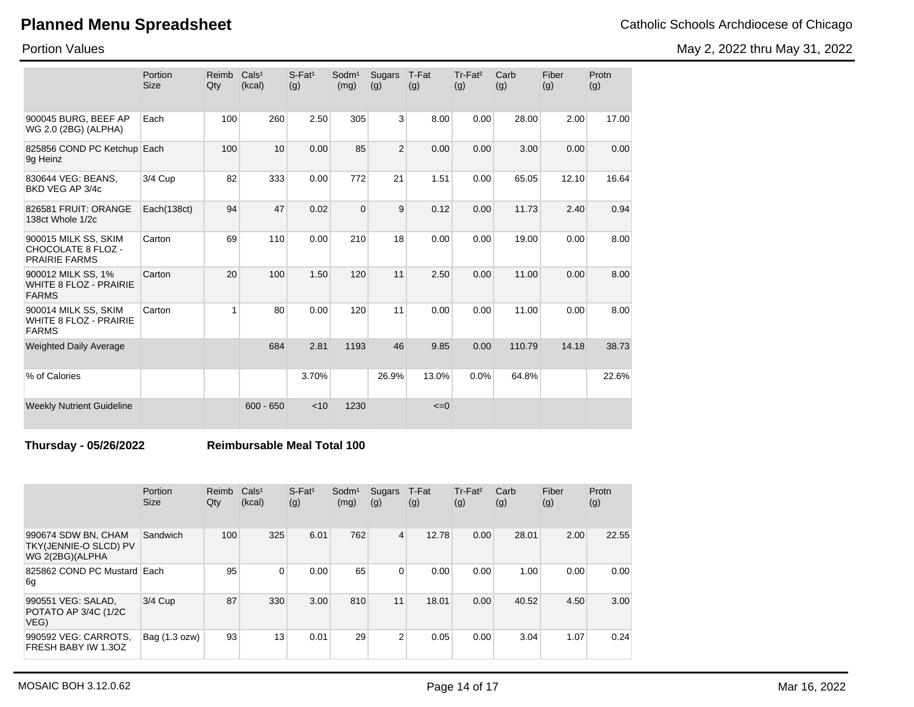Portion Values

| <b>Planned Menu Spreadsheet</b> | Catholic Schools Archdiocese of Chicago |
|---------------------------------|-----------------------------------------|
|---------------------------------|-----------------------------------------|

May 2, 2022 thru May 31, 2022

|                                                                       | Portion<br><b>Size</b> | Reimb<br>Qty | Cals <sup>1</sup><br>(kcal) | $S-Fat1$<br>(g) | Sodm <sup>1</sup><br>(mg) | Sugars<br>(g)  | T-Fat<br>(g) | Tr-Fat <sup>2</sup><br>(g) | Carb<br>(g) | Fiber<br>(g) | Protn<br>(g) |
|-----------------------------------------------------------------------|------------------------|--------------|-----------------------------|-----------------|---------------------------|----------------|--------------|----------------------------|-------------|--------------|--------------|
| 900045 BURG, BEEF AP<br>WG 2.0 (2BG) (ALPHA)                          | Each                   | 100          | 260                         | 2.50            | 305                       | $\overline{3}$ | 8.00         | 0.00                       | 28.00       | 2.00         | 17.00        |
| 825856 COND PC Ketchup Each<br>9q Heinz                               |                        | 100          | 10                          | 0.00            | 85                        | $\overline{2}$ | 0.00         | 0.00                       | 3.00        | 0.00         | 0.00         |
| 830644 VEG: BEANS.<br>BKD VEG AP 3/4c                                 | 3/4 Cup                | 82           | 333                         | 0.00            | 772                       | 21             | 1.51         | 0.00                       | 65.05       | 12.10        | 16.64        |
| 826581 FRUIT: ORANGE<br>138ct Whole 1/2c                              | Each(138ct)            | 94           | 47                          | 0.02            | $\Omega$                  | 9              | 0.12         | 0.00                       | 11.73       | 2.40         | 0.94         |
| 900015 MILK SS, SKIM<br>CHOCOLATE 8 FLOZ -<br><b>PRAIRIE FARMS</b>    | Carton                 | 69           | 110                         | 0.00            | 210                       | 18             | 0.00         | 0.00                       | 19.00       | 0.00         | 8.00         |
| 900012 MILK SS, 1%<br><b>WHITE 8 FLOZ - PRAIRIE</b><br><b>FARMS</b>   | Carton                 | 20           | 100                         | 1.50            | 120                       | 11             | 2.50         | 0.00                       | 11.00       | 0.00         | 8.00         |
| 900014 MILK SS, SKIM<br><b>WHITE 8 FLOZ - PRAIRIE</b><br><b>FARMS</b> | Carton                 | 1            | 80                          | 0.00            | 120                       | 11             | 0.00         | 0.00                       | 11.00       | 0.00         | 8.00         |
| <b>Weighted Daily Average</b>                                         |                        |              | 684                         | 2.81            | 1193                      | 46             | 9.85         | 0.00                       | 110.79      | 14.18        | 38.73        |
| % of Calories                                                         |                        |              |                             | 3.70%           |                           | 26.9%          | 13.0%        | 0.0%                       | 64.8%       |              | 22.6%        |
| <b>Weekly Nutrient Guideline</b>                                      |                        |              | $600 - 650$                 | < 10            | 1230                      |                | $\leq=0$     |                            |             |              |              |

**Thursday - 05/26/2022 Reimbursable Meal Total 100**

|                                                                 | Portion<br><b>Size</b> | Reimb<br>Qty | Cals <sup>1</sup><br>(kcal) | $S$ -Fat <sup>1</sup><br>(g) | Sodm <sup>1</sup><br>(mg) | Sugars<br>(g)  | T-Fat<br>(g) | Tr-Fat <sup>2</sup><br>(g) | Carb<br>(g) | Fiber<br>(g) | Protn<br>(g) |
|-----------------------------------------------------------------|------------------------|--------------|-----------------------------|------------------------------|---------------------------|----------------|--------------|----------------------------|-------------|--------------|--------------|
| 990674 SDW BN, CHAM<br>TKY(JENNIE-O SLCD) PV<br>WG 2(2BG)(ALPHA | Sandwich               | 100          | 325                         | 6.01                         | 762                       | $\overline{4}$ | 12.78        | 0.00                       | 28.01       | 2.00         | 22.55        |
| 825862 COND PC Mustard Each<br>6g                               |                        | 95           | $\Omega$                    | 0.00                         | 65                        | $\overline{0}$ | 0.00         | 0.00                       | 1.00        | 0.00         | 0.00         |
| 990551 VEG: SALAD,<br>POTATO AP 3/4C (1/2C<br>VEG)              | 3/4 Cup                | 87           | 330                         | 3.00                         | 810                       | 11             | 18.01        | 0.00                       | 40.52       | 4.50         | 3.00         |
| 990592 VEG: CARROTS,<br>FRESH BABY IW 1.3OZ                     | Bag (1.3 ozw)          | 93           | 13                          | 0.01                         | 29                        | 2              | 0.05         | 0.00                       | 3.04        | 1.07         | 0.24         |

MOSAIC BOH 3.12.0.62 Mar 16, 2022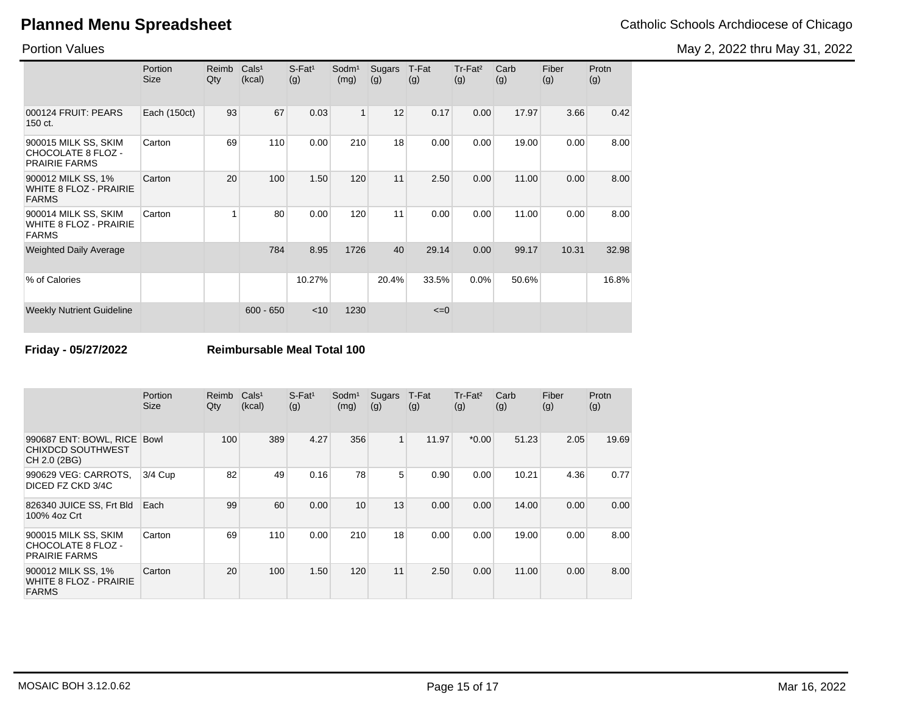May 2, 2022 thru May 31, 2022

Portion Values

|                                                                       | Portion<br>Size | Reimb<br>Qty | Cals <sup>1</sup><br>(kcal) | $S$ -Fat <sup>1</sup><br>(g) | Sodm <sup>1</sup><br>(mg) | Sugars<br>(g) | T-Fat<br>(g) | Tr-Fat <sup>2</sup><br>(g) | Carb<br>(g) | Fiber<br>(g) | Protn<br>(g) |
|-----------------------------------------------------------------------|-----------------|--------------|-----------------------------|------------------------------|---------------------------|---------------|--------------|----------------------------|-------------|--------------|--------------|
| 000124 FRUIT: PEARS<br>150 ct.                                        | Each (150ct)    | 93           | 67                          | 0.03                         | $\mathbf{1}$              | 12            | 0.17         | 0.00                       | 17.97       | 3.66         | 0.42         |
| 900015 MILK SS, SKIM<br>CHOCOLATE 8 FLOZ -<br><b>PRAIRIE FARMS</b>    | Carton          | 69           | 110                         | 0.00                         | 210                       | 18            | 0.00         | 0.00                       | 19.00       | 0.00         | 8.00         |
| 900012 MILK SS, 1%<br><b>WHITE 8 FLOZ - PRAIRIE</b><br><b>FARMS</b>   | Carton          | 20           | 100                         | 1.50                         | 120                       | 11            | 2.50         | 0.00                       | 11.00       | 0.00         | 8.00         |
| 900014 MILK SS, SKIM<br><b>WHITE 8 FLOZ - PRAIRIE</b><br><b>FARMS</b> | Carton          |              | 80                          | 0.00                         | 120                       | 11            | 0.00         | 0.00                       | 11.00       | 0.00         | 8.00         |
| <b>Weighted Daily Average</b>                                         |                 |              | 784                         | 8.95                         | 1726                      | 40            | 29.14        | 0.00                       | 99.17       | 10.31        | 32.98        |
| % of Calories                                                         |                 |              |                             | 10.27%                       |                           | 20.4%         | 33.5%        | 0.0%                       | 50.6%       |              | 16.8%        |
| <b>Weekly Nutrient Guideline</b>                                      |                 |              | $600 - 650$                 | $<$ 10                       | 1230                      |               | $\leq=0$     |                            |             |              |              |

**Friday - 05/27/2022 Reimbursable Meal Total 100**

|                                                                     | Portion<br><b>Size</b> | Reimb<br>Qty | Cals <sup>1</sup><br>(kcal) | $S$ -Fat <sup>1</sup><br>(g) | Sodm <sup>1</sup><br>(mg) | Sugars<br>(g)  | T-Fat<br>(g) | Tr-Fat <sup>2</sup><br>(g) | Carb<br>(g) | Fiber<br>(g) | Protn<br>(g) |
|---------------------------------------------------------------------|------------------------|--------------|-----------------------------|------------------------------|---------------------------|----------------|--------------|----------------------------|-------------|--------------|--------------|
| 990687 ENT: BOWL, RICE<br><b>CHIXDCD SOUTHWEST</b><br>CH 2.0 (2BG)  | Bowl                   | 100          | 389                         | 4.27                         | 356                       | 1              | 11.97        | $*0.00$                    | 51.23       | 2.05         | 19.69        |
| 990629 VEG: CARROTS,<br>DICED FZ CKD 3/4C                           | 3/4 Cup                | 82           | 49                          | 0.16                         | 78                        | 5 <sup>1</sup> | 0.90         | 0.00                       | 10.21       | 4.36         | 0.77         |
| 826340 JUICE SS, Frt Bld<br>100% 4oz Crt                            | Each                   | 99           | 60                          | 0.00                         | 10                        | 13             | 0.00         | 0.00                       | 14.00       | 0.00         | 0.00         |
| 900015 MILK SS, SKIM<br>CHOCOLATE 8 FLOZ -<br><b>PRAIRIE FARMS</b>  | Carton                 | 69           | 110                         | 0.00                         | 210                       | 18             | 0.00         | 0.00                       | 19.00       | 0.00         | 8.00         |
| 900012 MILK SS, 1%<br><b>WHITE 8 FLOZ - PRAIRIE</b><br><b>FARMS</b> | Carton                 | 20           | 100                         | 1.50                         | 120                       | 11             | 2.50         | 0.00                       | 11.00       | 0.00         | 8.00         |